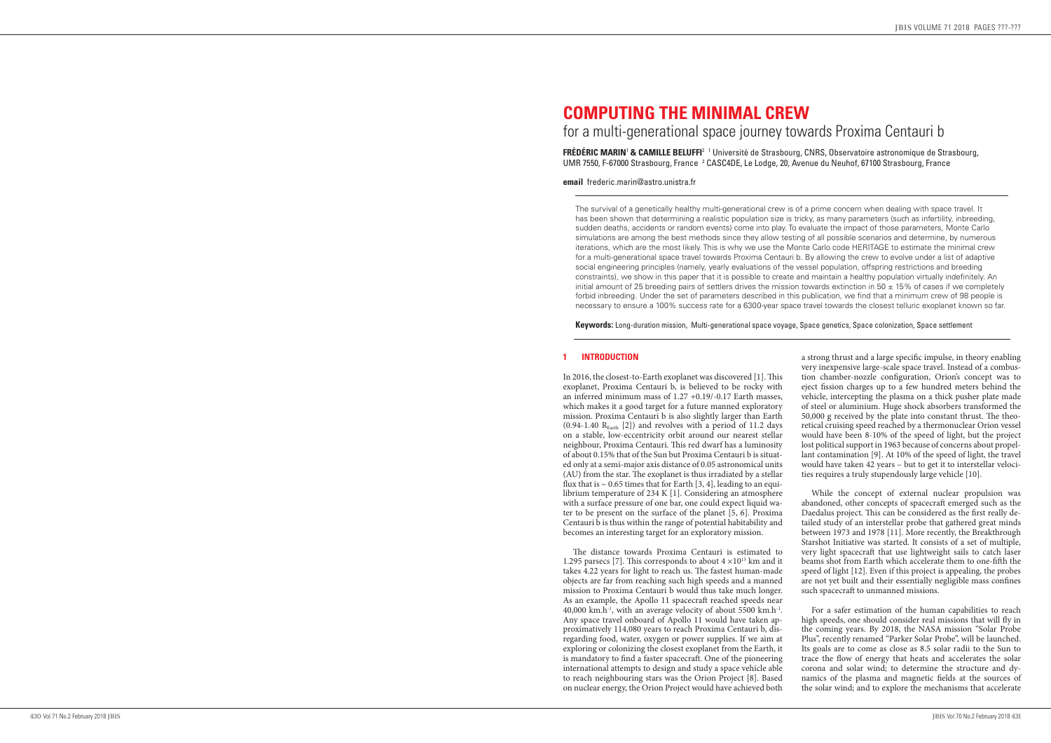# **COMPUTING THE MINIMAL CREW**  for a multi-generational space journey towards Proxima Centauri b

**FREDERIC MARIN' & CAMILLE BELUFFI**<sup>2</sup> <sup>1</sup> Université de Strasbourg, CNRS, Observatoire astronomique de Strasbourg, UMR 7550, F-67000 Strasbourg, France 2 CASC4DE, Le Lodge, 20, Avenue du Neuhof, 67100 Strasbourg, France

**email** frederic.marin@astro.unistra.fr

The survival of a genetically healthy multi-generational crew is of a prime concern when dealing with space travel. It has been shown that determining a realistic population size is tricky, as many parameters (such as infertility, inbreeding, sudden deaths, accidents or random events) come into play. To evaluate the impact of those parameters, Monte Carlo simulations are among the best methods since they allow testing of all possible scenarios and determine, by numerous iterations, which are the most likely. This is why we use the Monte Carlo code HERITAGE to estimate the minimal crew for a multi-generational space travel towards Proxima Centauri b. By allowing the crew to evolve under a list of adaptive social engineering principles (namely, yearly evaluations of the vessel population, offspring restrictions and breeding constraints), we show in this paper that it is possible to create and maintain a healthy population virtually indefinitely. An initial amount of 25 breeding pairs of settlers drives the mission towards extinction in 50  $\pm$  15% of cases if we completely forbid inbreeding. Under the set of parameters described in this publication, we find that a minimum crew of 98 people is necessary to ensure a 100% success rate for a 6300-year space travel towards the closest telluric exoplanet known so far.

**Keywords:** Long-duration mission, Multi-generational space voyage, Space genetics, Space colonization, Space settlement

# **1 INTRODUCTION**

In 2016, the closest-to-Earth exoplanet was discovered [1]. This exoplanet, Proxima Centauri b, is believed to be rocky with an inferred minimum mass of 1.27 +0.19/-0.17 Earth masses, which makes it a good target for a future manned exploratory mission. Proxima Centauri b is also slightly larger than Earth  $(0.94-1.40 \text{ R}_{\text{Earth}} [2])$  and revolves with a period of 11.2 days on a stable, low-eccentricity orbit around our nearest stellar neighbour, Proxima Centauri. This red dwarf has a luminosity of about 0.15% that of the Sun but Proxima Centauri b is situat ed only at a semi-major axis distance of 0.05 astronomical units (AU) from the star. The exoplanet is thus irradiated by a stellar flux that is  $\sim$  0.65 times that for Earth [3, 4], leading to an equilibrium temperature of 234 K [1]. Considering an atmosphere with a surface pressure of one bar, one could expect liquid wa ter to be present on the surface of the planet  $\hat{5}$ , 6. Proxima Centauri  $\bar{b}$  is thus within the range of potential habitability and becomes an interesting target for an exploratory mission.

The distance towards Proxima Centauri is estimated to 1.295 parsecs [7]. This corresponds to about  $4 \times 10^{13}$  km and it takes 4.22 years for light to reach us. The fastest human-made objects are far from reaching such high speeds and a manned mission to Proxima Centauri b would thus take much longer. As an example, the Apollo 11 spacecraft reached speeds near 40,000 km.h<sup>-1</sup>, with an average velocity of about 5500 km.h<sup>-1</sup>. Any space travel onboard of Apollo 11 would have taken ap proximatively 114,080 years to reach Proxima Centauri b, dis regarding food, water, oxygen or power supplies. If we aim at exploring or colonizing the closest exoplanet from the Earth, it is mandatory to find a faster spacecraft. One of the pioneering international attempts to design and study a space vehicle able to reach neighbouring stars was the Orion Project [8]. Based on nuclear energy, the Orion Project would have achieved both

a strong thrust and a large specific impulse, in theory enabling very inexpensive large-scale space travel. Instead of a combus tion chamber-nozzle configuration, Orion's concept was to eject fission charges up to a few hundred meters behind the vehicle, intercepting the plasma on a thick pusher plate made of steel or aluminium. Huge shock absorbers transformed the 50,000 g received by the plate into constant thrust. The theo retical cruising speed reached by a thermonuclear Orion vessel would have been 8-10% of the speed of light, but the project lost political support in 1963 because of concerns about propel lant contamination [9]. At 10% of the speed of light, the travel would have taken 42 years – but to get it to interstellar veloci ties requires a truly stupendously large vehicle [10].

While the concept of external nuclear propulsion was abandoned, other concepts of spacecraft emerged such as the Daedalus project. This can be considered as the first really de tailed study of an interstellar probe that gathered great minds between 1973 and 1978 [11]. More recently, the Breakthrough Starshot Initiative was started. It consists of a set of multiple, very light spacecraft that use lightweight sails to catch laser beams shot from Earth which accelerate them to one-fifth the speed of light [12]. Even if this project is appealing, the probes are not yet built and their essentially negligible mass confines such spacecraft to unmanned missions.

For a safer estimation of the human capabilities to reach high speeds, one should consider real missions that will fly in the coming years. By 2018, the NASA mission "Solar Probe Plus", recently renamed "Parker Solar Probe", will be launched. Its goals are to come as close as 8.5 solar radii to the Sun to trace the flow of energy that heats and accelerates the solar corona and solar wind; to determine the structure and dy namics of the plasma and magnetic fields at the sources of the solar wind; and to explore the mechanisms that accelerate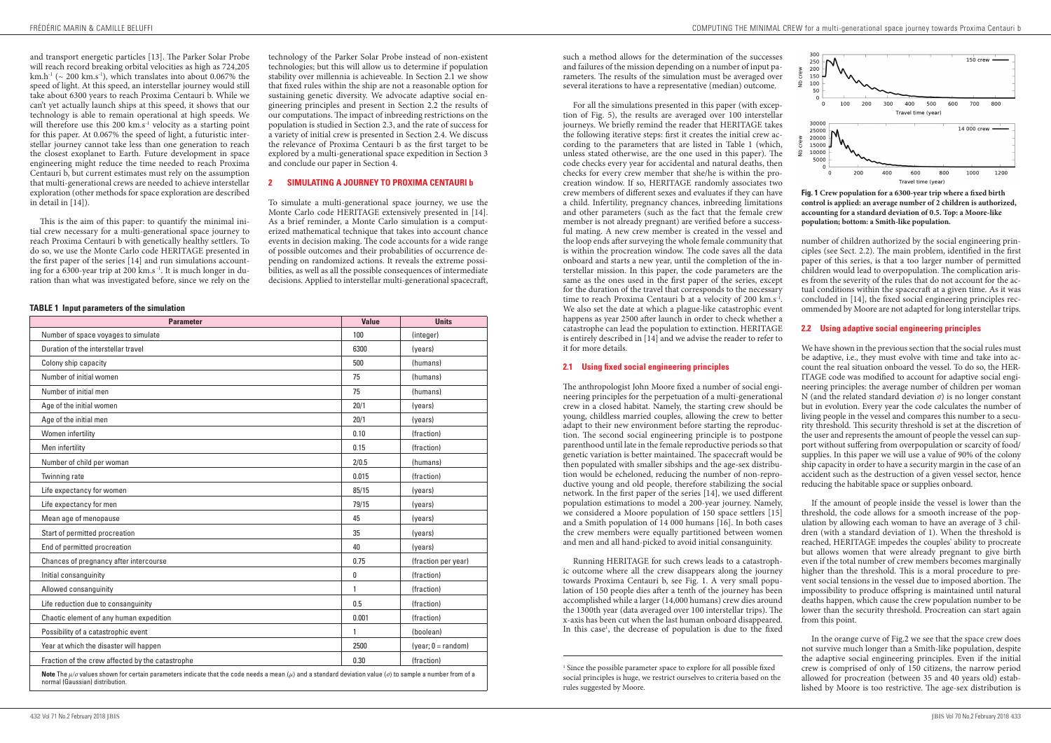such a method allows for the determination of the successes and failures of the mission depending on a number of input parameters. The results of the simulation must be averaged over several iterations to have a representative (median) outcome.

For all the simulations presented in this paper (with exception of Fig. 5), the results are averaged over 100 interstellar journeys. We briefly remind the reader that HERITAGE takes the following iterative steps: first it creates the initial crew according to the parameters that are listed in Table 1 (which, unless stated otherwise, are the one used in this paper). The code checks every year for accidental and natural deaths, then checks for every crew member that she/he is within the procreation window. If so, HERITAGE randomly associates two crew members of different sexes and evaluates if they can have a child. Infertility, pregnancy chances, inbreeding limitations and other parameters (such as the fact that the female crew member is not already pregnant) are verified before a successful mating. A new crew member is created in the vessel and the loop ends after surveying the whole female community that is within the procreation window. The code saves all the data onboard and starts a new year, until the completion of the interstellar mission. In this paper, the code parameters are the same as the ones used in the first paper of the series, except for the duration of the travel that corresponds to the necessary time to reach Proxima Centauri b at a velocity of 200  $\text{km.s}^{-1}$ . We also set the date at which a plague-like catastrophic event happens as year 2500 after launch in order to check whether a catastrophe can lead the population to extinction. HERITAGE is entirely described in [14] and we advise the reader to refer to it for more details.

Running HERITAGE for such crews leads to a catastrophic outcome where all the crew disappears along the journey towards Proxima Centauri b, see Fig. 1. A very small population of 150 people dies after a tenth of the journey has been accomplished while a larger (14,000 humans) crew dies around the 1300th year (data averaged over 100 interstellar trips). The x-axis has been cut when the last human onboard disappeared. In this case<sup>1</sup>, the decrease of population is due to the fixed

#### **2.1 Using fixed social engineering principles**

The anthropologist John Moore fixed a number of social engineering principles for the perpetuation of a multi-generational crew in a closed habitat. Namely, the starting crew should be young, childless married couples, allowing the crew to better adapt to their new environment before starting the reproduction. The second social engineering principle is to postpone parenthood until late in the female reproductive periods so that genetic variation is better maintained. The spacecraft would be then populated with smaller sibships and the age-sex distribution would be echeloned, reducing the number of non-reproductive young and old people, therefore stabilizing the social network. In the first paper of the series [14], we used different population estimations to model a 200-year journey. Namely, we considered a Moore population of 150 space settlers [15] and a Smith population of  $14\,000$  humans  $\overline{16}$ . In both cases the crew members were equally partitioned between women and men and all hand-picked to avoid initial consanguinity.



**Fig. 1 Crew population for a 6300-year trip where a fixed birth control is applied: an average number of 2 children is authorized, accounting for a standard deviation of 0.5. Top: a Moore-like population; bottom: a Smith-like population.**

number of children authorized by the social engineering principles (see Sect. 2.2). The main problem, identified in the first paper of this series, is that a too larger number of permitted children would lead to overpopulation. The complication arises from the severity of the rules that do not account for the actual conditions within the spacecraft at a given time. As it was concluded in [14], the fixed social engineering principles recommended by Moore are not adapted for long interstellar trips.

# **2.2 Using adaptive social engineering principles**

We have shown in the previous section that the social rules must be adaptive, i.e., they must evolve with time and take into account the real situation onboard the vessel. To do so, the HER-ITAGE code was modified to account for adaptive social engineering principles: the average number of children per woman N (and the related standard deviation *σ*) is no longer constant but in evolution. Every year the code calculates the number of living people in the vessel and compares this number to a security threshold. This security threshold is set at the discretion of the user and represents the amount of people the vessel can support without suffering from overpopulation or scarcity of food/ supplies. In this paper we will use a value of 90% of the colony ship capacity in order to have a security margin in the case of an accident such as the destruction of a given vessel sector, hence reducing the habitable space or supplies onboard.

If the amount of people inside the vessel is lower than the threshold, the code allows for a smooth increase of the population by allowing each woman to have an average of 3 children (with a standard deviation of 1). When the threshold is reached, HERITAGE impedes the couples' ability to procreate but allows women that were already pregnant to give birth even if the total number of crew members becomes marginally higher than the threshold. This is a moral procedure to prevent social tensions in the vessel due to imposed abortion. The impossibility to produce offspring is maintained until natural deaths happen, which cause the crew population number to be lower than the security threshold. Procreation can start again from this point.

In the orange curve of Fig.2 we see that the space crew does not survive much longer than a Smith-like population, despite the adaptive social engineering principles. Even if the initial crew is comprised of only of 150 citizens, the narrow period allowed for procreation (between 35 and 40 years old) established by Moore is too restrictive. The age-sex distribution is

and transport energetic particles [13]. The Parker Solar Probe will reach record breaking orbital velocities as high as  $724,205$ km.h<sup>-1</sup> ( $\sim$  200 km.s<sup>-1</sup>), which translates into about 0.067% the speed of light. At this speed, an interstellar journey would still take about 6300 years to reach Proxima Centauri b. While we can't yet actually launch ships at this speed, it shows that our technology is able to remain operational at high speeds. We will therefore use this 200  $km.s^{-1}$  velocity as a starting point for this paper. At 0.067% the speed of light, a futuristic interstellar journey cannot take less than one generation to reach the closest exoplanet to Earth. Future development in space engineering might reduce the time needed to reach Proxima Centauri b, but current estimates must rely on the assumption that multi-generational crews are needed to achieve interstellar exploration (other methods for space exploration are described in detail in [14]).

This is the aim of this paper: to quantify the minimal initial crew necessary for a multi-generational space journey to reach Proxima Centauri b with genetically healthy settlers. To do so, we use the Monte Carlo code HERITAGE presented in the first paper of the series [14] and run simulations accounting for a  $6300$ -year trip at 200 km.s<sup>-1</sup>. It is much longer in duration than what was investigated before, since we rely on the

technology of the Parker Solar Probe instead of non-existent technologies; but this will allow us to determine if population stability over millennia is achieveable. In Section 2.1 we show that fixed rules within the ship are not a reasonable option for sustaining genetic diversity. We advocate adaptive social engineering principles and present in Section 2.2 the results of our computations. The impact of inbreeding restrictions on the population is studied in Section 2.3, and the rate of success for a variety of initial crew is presented in Section 2.4. We discuss the relevance of Proxima Centauri b as the first target to be explored by a multi-generational space expedition in Section 3 and conclude our paper in Section 4.

# **2 SIMULATING A JOURNEY TO PROXIMA CENTAURI b**

To simulate a multi-generational space journey, we use the Monte Carlo code HERITAGE extensively presented in [14]. As a brief reminder, a Monte Carlo simulation is a computerized mathematical technique that takes into account chance events in decision making. The code accounts for a wide range of possible outcomes and their probabilities of occurrence depending on randomized actions. It reveals the extreme possibilities, as well as all the possible consequences of intermediate decisions. Applied to interstellar multi-generational spacecraft,

#### **TABLE 1 Input parameters of the simulation**

| <b>Parameter</b>                                 | <b>Value</b> | <b>Units</b>         |
|--------------------------------------------------|--------------|----------------------|
| Number of space voyages to simulate              | 100          | (integer)            |
| Duration of the interstellar travel              | 6300         | (years)              |
| Colony ship capacity                             | 500          | (humans)             |
| Number of initial women                          | 75           | (humans)             |
| Number of initial men                            | 75           | (humans)             |
| Age of the initial women                         | 20/1         | (years)              |
| Age of the initial men                           | 20/1         | (years)              |
| Women infertility                                | 0.10         | (fraction)           |
| Men infertility                                  | 0.15         | (fraction)           |
| Number of child per woman                        | 2/0.5        | (humans)             |
| Twinning rate                                    | 0.015        | (fraction)           |
| Life expectancy for women                        | 85/15        | (years)              |
| Life expectancy for men                          | 79/15        | (years)              |
| Mean age of menopause                            | 45           | (years)              |
| Start of permitted procreation                   | 35           | (years)              |
| End of permitted procreation                     | 40           | (years)              |
| Chances of pregnancy after intercourse           | 0.75         | (fraction per year)  |
| Initial consanguinity                            | 0            | (fraction)           |
| Allowed consanguinity                            | 1            | (fraction)           |
| Life reduction due to consanguinity              | 0.5          | (fraction)           |
| Chaotic element of any human expedition          | 0.001        | (fraction)           |
| Possibility of a catastrophic event              | 1            | (boolean)            |
| Year at which the disaster will happen           | 2500         | $(year; 0 = random)$ |
| Fraction of the crew affected by the catastrophe | 0.30         | (fraction)           |

<sup>&</sup>lt;sup>1</sup> Since the possible parameter space to explore for all possible fixed social principles is huge, we restrict ourselves to criteria based on the rules suggested by Moore.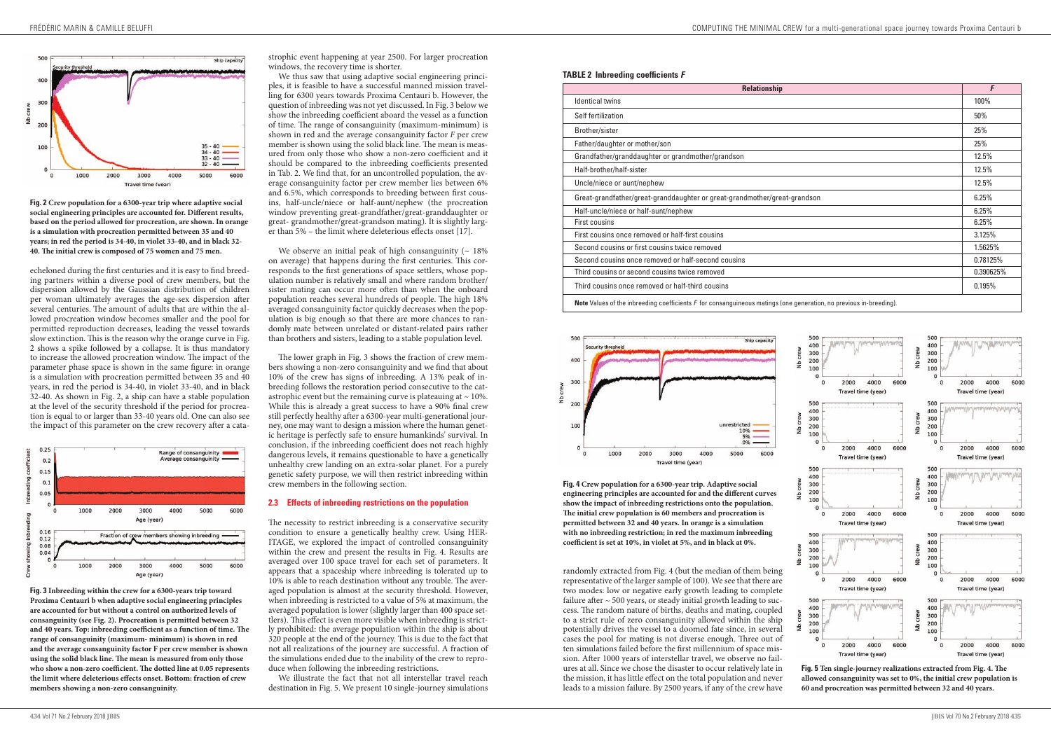|  |  | <b>TABLE 2 Inbreeding coefficients F</b> |
|--|--|------------------------------------------|
|--|--|------------------------------------------|

| <b>Relationship</b>                                                                                                         |           |  |
|-----------------------------------------------------------------------------------------------------------------------------|-----------|--|
| <b>Identical twins</b>                                                                                                      | 100%      |  |
| Self fertilization                                                                                                          | 50%       |  |
| Brother/sister                                                                                                              | 25%       |  |
| Father/daughter or mother/son                                                                                               | 25%       |  |
| Grandfather/granddaughter or grandmother/grandson                                                                           | 12.5%     |  |
| Half-brother/half-sister                                                                                                    | 12.5%     |  |
| Uncle/niece or aunt/nephew                                                                                                  | 12.5%     |  |
| Great-grandfather/great-granddaughter or great-grandmother/great-grandson                                                   |           |  |
| Half-uncle/niece or half-aunt/nephew                                                                                        | 6.25%     |  |
| <b>First cousins</b>                                                                                                        | 6.25%     |  |
| First cousins once removed or half-first cousins                                                                            | 3.125%    |  |
| Second cousins or first cousins twice removed                                                                               | 1.5625%   |  |
| Second cousins once removed or half-second cousins                                                                          | 0.78125%  |  |
| Third cousins or second cousins twice removed                                                                               | 0.390625% |  |
| Third cousins once removed or half-third cousins                                                                            | 0.195%    |  |
| <b>Note</b> Values of the inbreeding coefficients $F$ for consanguineous matings (one generation, no previous in-breeding). |           |  |



randomly extracted from Fig. 4 (but the median of them being representative of the larger sample of 100). We see that there are two modes: low or negative early growth leading to complete failure after  $\sim$  500 years, or steady initial growth leading to success. The random nature of births, deaths and mating, coupled to a strict rule of zero consanguinity allowed within the ship potentially drives the vessel to a doomed fate since, in several cases the pool for mating is not diverse enough. Three out of ten simulations failed before the first millennium of space mission. After 1000 years of interstellar travel, we observe no failures at all. Since we chose the disaster to occur relatively late in the mission, it has little effect on the total population and never leads to a mission failure. By 2500 years, if any of the crew have

**Fig. 4 Crew population for a 6300-year trip. Adaptive social engineering principles are accounted for and the different curves show the impact of inbreeding restrictions onto the population. The initial crew population is 60 members and procreation is permitted between 32 and 40 years. In orange is a simulation with no inbreeding restriction; in red the maximum inbreeding coefficient is set at 10%, in violet at 5%, and in black at 0%.**



**Fig. 5 Ten single-journey realizations extracted from Fig. 4. The allowed consanguinity was set to 0%, the initial crew population is 60 and procreation was permitted between 32 and 40 years.**

We observe an initial peak of high consanguinity ( $\sim 18\%$ on average) that happens during the first centuries. This corresponds to the first generations of space settlers, whose population number is relatively small and where random brother/ sister mating can occur more often than when the onboard population reaches several hundreds of people. The high 18% averaged consanguinity factor quickly decreases when the population is big enough so that there are more chances to randomly mate between unrelated or distant-related pairs rather than brothers and sisters, leading to a stable population level.

echeloned during the first centuries and it is easy to find breeding partners within a diverse pool of crew members, but the dispersion allowed by the Gaussian distribution of children per woman ultimately averages the age-sex dispersion after several centuries. The amount of adults that are within the allowed procreation window becomes smaller and the pool for permitted reproduction decreases, leading the vessel towards slow extinction. This is the reason why the orange curve in Fig. 2 shows a spike followed by a collapse. It is thus mandatory to increase the allowed procreation window. The impact of the parameter phase space is shown in the same figure: in orange is a simulation with procreation permitted between 35 and 40 years, in red the period is 34-40, in violet 33-40, and in black 32-40. As shown in Fig. 2, a ship can have a stable population at the level of the security threshold if the period for procreation is equal to or larger than 33-40 years old. One can also see the impact of this parameter on the crew recovery after a cata-



**Fig. 2 Crew population for a 6300-year trip where adaptive social social engineering principles are accounted for. Different results, based on the period allowed for procreation, are shown. In orange is a simulation with procreation permitted between 35 and 40 years; in red the period is 34-40, in violet 33-40, and in black 32- 40. The initial crew is composed of 75 women and 75 men.**

strophic event happening at year 2500. For larger procreation windows, the recovery time is shorter.

We thus saw that using adaptive social engineering principles, it is feasible to have a successful manned mission travelling for 6300 years towards Proxima Centauri b. However, the question of inbreeding was not yet discussed. In Fig. 3 below we show the inbreeding coefficient aboard the vessel as a function of time. The range of consanguinity (maximum-minimum) is shown in red and the average consanguinity factor *F* per crew member is shown using the solid black line. The mean is measured from only those who show a non-zero coefficient and it should be compared to the inbreeding coefficients presented in Tab. 2. We find that, for an uncontrolled population, the average consanguinity factor per crew member lies between 6% and 6.5%, which corresponds to breeding between first cousins, half-uncle/niece or half-aunt/nephew (the procreation window preventing great-grandfather/great-granddaughter or great- grandmother/great-grandson mating). It is slightly larger than 5% – the limit where deleterious effects onset [17].

The lower graph in Fig. 3 shows the fraction of crew members showing a non-zero consanguinity and we find that about 10% of the crew has signs of inbreeding. A 13% peak of inbreeding follows the restoration period consecutive to the catastrophic event but the remaining curve is plateauing at  $\sim$  10%. While this is already a great success to have a 90% final crew still perfectly healthy after a 6300-year multi-generational journey, one may want to design a mission where the human genetic heritage is perfectly safe to ensure humankinds' survival. In conclusion, if the inbreeding coefficient does not reach highly dangerous levels, it remains questionable to have a genetically unhealthy crew landing on an extra-solar planet. For a purely genetic safety purpose, we will then restrict inbreeding within crew members in the following section.

#### **2.3 Effects of inbreeding restrictions on the population**

The necessity to restrict inbreeding is a conservative security condition to ensure a genetically healthy crew. Using HER-ITAGE, we explored the impact of controlled consanguinity within the crew and present the results in Fig. 4. Results are averaged over 100 space travel for each set of parameters. It appears that a spaceship where inbreeding is tolerated up to 10% is able to reach destination without any trouble. The averaged population is almost at the security threshold. However, when inbreeding is restricted to a value of 5% at maximum, the averaged population is lower (slightly larger than 400 space settlers). This effect is even more visible when inbreeding is strictly prohibited: the average population within the ship is about 320 people at the end of the journey. This is due to the fact that not all realizations of the journey are successful. A fraction of the simulations ended due to the inability of the crew to reproduce when following the inbreeding restrictions.

We illustrate the fact that not all interstellar travel reach destination in Fig. 5. We present 10 single-journey simulations

**Fig. 3 Inbreeding within the crew for a 6300-years trip toward Proxima Centauri b when adaptive social engineering principles are accounted for but without a control on authorized levels of consanguinity (see Fig. 2). Procreation is permitted between 32 and 40 years. Top: inbreeding coefficient as a function of time. The range of consanguinity (maximum- minimum) is shown in red and the average consanguinity factor F per crew member is shown using the solid black line. The mean is measured from only those who show a non-zero coefficient. The dotted line at 0.05 represents the limit where deleterious effects onset. Bottom: fraction of crew members showing a non-zero consanguinity.**

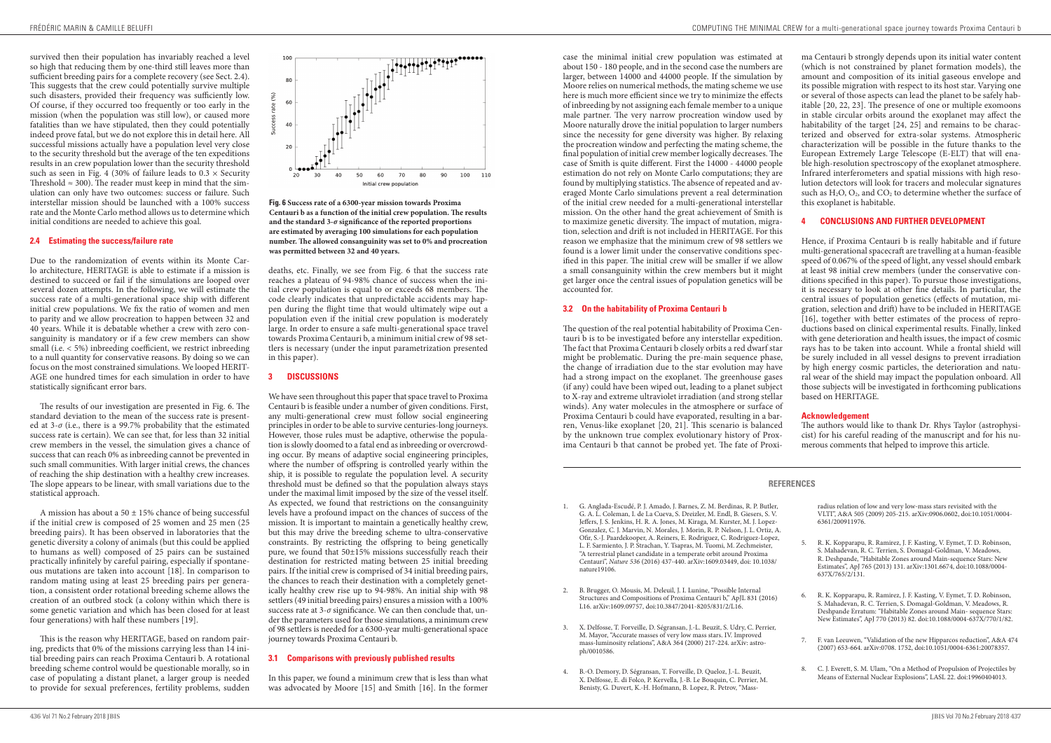case the minimal initial crew population was estimated at about 150 - 180 people, and in the second case the numbers are larger, between 14000 and 44000 people. If the simulation by Moore relies on numerical methods, the mating scheme we use here is much more efficient since we try to minimize the effects of inbreeding by not assigning each female member to a unique male partner. The very narrow procreation window used by Moore naturally drove the initial population to larger numbers since the necessity for gene diversity was higher. By relaxing the procreation window and perfecting the mating scheme, the final population of initial crew member logically decreases. The case of Smith is quite different. First the 14000 - 44000 people estimation do not rely on Monte Carlo computations; they are found by multiplying statistics. The absence of repeated and averaged Monte Carlo simulations prevent a real determination of the initial crew needed for a multi-generational interstellar mission. On the other hand the great achievement of Smith is to maximize genetic diversity. The impact of mutation, migration, selection and drift is not included in HERITAGE. For this reason we emphasize that the minimum crew of 98 settlers we found is a lower limit under the conservative conditions specified in this paper. The initial crew will be smaller if we allow a small consanguinity within the crew members but it might get larger once the central issues of population genetics will be accounted for.

#### **3.2 On the habitability of Proxima Centauri b**

The question of the real potential habitability of Proxima Centauri b is to be investigated before any interstellar expedition. The fact that Proxima Centauri b closely orbits a red dwarf star might be problematic. During the pre-main sequence phase, the change of irradiation due to the star evolution may have had a strong impact on the exoplanet. The greenhouse gases (if any) could have been wiped out, leading to a planet subject to X-ray and extreme ultraviolet irradiation (and strong stellar winds). Any water molecules in the atmosphere or surface of Proxima Centauri b could have evaporated, resulting in a barren, Venus-like exoplanet [20, 21]. This scenario is balanced by the unknown true complex evolutionary history of Proxima Centauri b that cannot be probed yet. The fate of Proxi-

ma Centauri b strongly depends upon its initial water content (which is not constrained by planet formation models), the amount and composition of its initial gaseous envelope and its possible migration with respect to its host star. Varying one or several of those aspects can lead the planet to be safely habitable [20, 22, 23]. The presence of one or multiple exomoons in stable circular orbits around the exoplanet may affect the habitability of the target [24, 25] and remains to be characterized and observed for extra-solar systems. Atmospheric characterization will be possible in the future thanks to the European Extremely Large Telescope (E-ELT) that will enable high-resolution spectroscopy of the exoplanet atmosphere. Infrared interferometers and spatial missions with high resolution detectors will look for tracers and molecular signatures such as  $H_2O$ ,  $O_2$ , and  $CO_2$  to determine whether the surface of this exoplanet is habitable.

# **4 CONCLUSIONS AND FURTHER DEVELOPMENT**

Hence, if Proxima Centauri b is really habitable and if future multi-generational spacecraft are travelling at a human-feasible speed of 0.067% of the speed of light, any vessel should embark at least 98 initial crew members (under the conservative conditions specified in this paper). To pursue those investigations, it is necessary to look at other fine details. In particular, the central issues of population genetics (effects of mutation, migration, selection and drift) have to be included in HERITAGE [16], together with better estimates of the process of reproductions based on clinical experimental results. Finally, linked with gene deterioration and health issues, the impact of cosmic rays has to be taken into account. While a frontal shield will be surely included in all vessel designs to prevent irradiation by high energy cosmic particles, the deterioration and natural wear of the shield may impact the population onboard. All those subjects will be investigated in forthcoming publications based on HERITAGE.

#### **Acknowledgement**

The authors would like to thank Dr. Rhys Taylor (astrophysicist) for his careful reading of the manuscript and for his numerous comments that helped to improve this article.

A mission has about a  $50 \pm 15\%$  chance of being successful if the initial crew is composed of 25 women and 25 men (25 breeding pairs). It has been observed in laboratories that the genetic diversity a colony of animals (but this could be applied to humans as well) composed of 25 pairs can be sustained practically infinitely by careful pairing, especially if spontaneous mutations are taken into account [18]. In comparison to random mating using at least 25 breeding pairs per generation, a consistent order rotational breeding scheme allows the creation of an outbred stock (a colony within which there is some genetic variation and which has been closed for at least four generations) with half these numbers [19].

- 1. G. Anglada-Escudé, P. J. Amado, J. Barnes, Z. M. Berdinas, R. P. Butler, G. A. L. Coleman, I. de La Cueva, S. Dreizler, M. Endl, B. Giesers, S. V. Jeffers, J. S. Jenkins, H. R. A. Jones, M. Kiraga, M. Kurster, M. J. Lopez-Gonzalez, C. J. Marvin, N. Morales, J. Morin, R. P. Nelson, J. L. Ortiz, A. Ofir, S.-J. Paardekooper, A. Reiners, E. Rodriguez, C. Rodriguez-Lopez, L. F. Sarmiento, J. P. Strachan, Y. Tsapras, M. Tuomi, M. Zechmeister, "A terrestrial planet candidate in a temperate orbit around Proxima Centauri", *Nature 536* (2016) 437-440. arXiv:1609.03449, doi: 10.1038/ nature19106.
- 2. B. Brugger, O. Mousis, M. Deleuil, J. I. Lunine, "Possible Internal Structures and Compositions of Proxima Centauri b," ApJL 831 (2016) L16. arXiv:1609.09757, doi:10.3847/2041-8205/831/2/L16.
- 3. X. Delfosse, T. Forveille, D. Ségransan, J.-L. Beuzit, S. Udry, C. Perrier, M. Mayor, "Accurate masses of very low mass stars. IV. Improved mass-luminosity relations", A&A 364 (2000) 217-224. arXiv: astroph/0010586.
- 4. B.-O. Demory, D. Ségransan, T. Forveille, D. Queloz, J.-L. Beuzit, X. Delfosse, E. di Folco, P. Kervella, J.-B. Le Bouquin, C. Perrier, M. Benisty, G. Duvert, K.-H. Hofmann, B. Lopez, R. Petrov, "Mass-

radius relation of low and very low-mass stars revisited with the VLTI", A&A 505 (2009) 205-215. arXiv:0906.0602, doi:10.1051/0004- 6361/200911976.

- 5. R. K. Kopparapu, R. Ramirez, J. F. Kasting, V. Eymet, T. D. Robinson, S. Mahadevan, R. C. Terrien, S. Domagal-Goldman, V. Meadows, R. Deshpande, "Habitable Zones around Main-sequence Stars: New Estimates", ApJ 765 (2013) 131. arXiv:1301.6674, doi:10.1088/0004- 637X/765/2/131.
- 6. R. K. Kopparapu, R. Ramirez, J. F. Kasting, V. Eymet, T. D. Robinson, S. Mahadevan, R. C. Terrien, S. Domagal-Goldman, V. Meadows, R. Deshpande Erratum: "Habitable Zones around Main- sequence Stars: New Estimates", ApJ 770 (2013) 82. doi:10.1088/0004-637X/770/1/82.
- 7. F. van Leeuwen, "Validation of the new Hipparcos reduction", A&A 474 (2007) 653-664. arXiv:0708. 1752, doi:10.1051/0004-6361:20078357.
- 8. C. J. Everett, S. M. Ulam, "On a Method of Propulsion of Projectiles by Means of External Nuclear Explosions", LASL 22. doi:19960404013.

# **REFERENCES**

survived then their population has invariably reached a level so high that reducing them by one-third still leaves more than sufficient breeding pairs for a complete recovery (see Sect. 2.4). This suggests that the crew could potentially survive multiple such disasters, provided their frequency was sufficiently low. Of course, if they occurred too frequently or too early in the mission (when the population was still low), or caused more fatalities than we have stipulated, then they could potentially indeed prove fatal, but we do not explore this in detail here. All successful missions actually have a population level very close to the security threshold but the average of the ten expeditions results in an crew population lower than the security threshold such as seen in Fig. 4 (30% of failure leads to  $0.3 \times$  Security Threshold  $\approx$  300). The reader must keep in mind that the simulation can only have two outcomes: success or failure. Such interstellar mission should be launched with a 100% success rate and the Monte Carlo method allows us to determine which initial conditions are needed to achieve this goal.

#### **2.4 Estimating the success/failure rate**

Due to the randomization of events within its Monte Carlo architecture, HERITAGE is able to estimate if a mission is destined to succeed or fail if the simulations are looped over several dozen attempts. In the following, we will estimate the success rate of a multi-generational space ship with different initial crew populations. We fix the ratio of women and men to parity and we allow procreation to happen between 32 and 40 years. While it is debatable whether a crew with zero consanguinity is mandatory or if a few crew members can show small (i.e. < 5%) inbreeding coefficient, we restrict inbreeding to a null quantity for conservative reasons. By doing so we can focus on the most constrained simulations. We looped HERIT-AGE one hundred times for each simulation in order to have statistically significant error bars.

The results of our investigation are presented in Fig. 6. The standard deviation to the mean of the success rate is presented at  $3-\sigma$  (i.e., there is a 99.7% probability that the estimated success rate is certain). We can see that, for less than 32 initial crew members in the vessel, the simulation gives a chance of success that can reach 0% as inbreeding cannot be prevented in such small communities. With larger initial crews, the chances of reaching the ship destination with a healthy crew increases. The slope appears to be linear, with small variations due to the statistical approach.

This is the reason why HERITAGE, based on random pairing, predicts that 0% of the missions carrying less than 14 initial breeding pairs can reach Proxima Centauri b. A rotational breeding scheme control would be questionable morally, so in case of populating a distant planet, a larger group is needed to provide for sexual preferences, fertility problems, sudden



**Fig. 6 Success rate of a 6300-year mission towards Proxima Centauri b as a function of the initial crew population. The results and the standard 3-***σ* **significance of the reported proportions are estimated by averaging 100 simulations for each population number. The allowed consanguinity was set to 0% and procreation was permitted between 32 and 40 years.**

deaths, etc. Finally, we see from Fig. 6 that the success rate reaches a plateau of 94-98% chance of success when the initial crew population is equal to or exceeds 68 members. The code clearly indicates that unpredictable accidents may happen during the flight time that would ultimately wipe out a population even if the initial crew population is moderately large. In order to ensure a safe multi-generational space travel towards Proxima Centauri b, a minimum initial crew of 98 settlers is necessary (under the input parametrization presented in this paper).

# **3 DISCUSSIONS**

We have seen throughout this paper that space travel to Proxima Centauri b is feasible under a number of given conditions. First, any multi-generational crew must follow social engineering principles in order to be able to survive centuries-long journeys. However, those rules must be adaptive, otherwise the population is slowly doomed to a fatal end as inbreeding or overcrowding occur. By means of adaptive social engineering principles, where the number of offspring is controlled yearly within the ship, it is possible to regulate the population level. A security threshold must be defined so that the population always stays under the maximal limit imposed by the size of the vessel itself. As expected, we found that restrictions on the consanguinity levels have a profound impact on the chances of success of the mission. It is important to maintain a genetically healthy crew, but this may drive the breeding scheme to ultra-conservative constraints. By restricting the offspring to being genetically pure, we found that 50±15% missions successfully reach their destination for restricted mating between 25 initial breeding pairs. If the initial crew is comprised of 34 initial breeding pairs, the chances to reach their destination with a completely genetically healthy crew rise up to 94-98%. An initial ship with 98 settlers (49 initial breeding pairs) ensures a mission with a 100% success rate at  $3-\sigma$  significance. We can then conclude that, under the parameters used for those simulations, a minimum crew of 98 settlers is needed for a 6300-year multi-generational space journey towards Proxima Centauri b.

# **3.1 Comparisons with previously published results**

In this paper, we found a minimum crew that is less than what was advocated by Moore [15] and Smith [16]. In the former